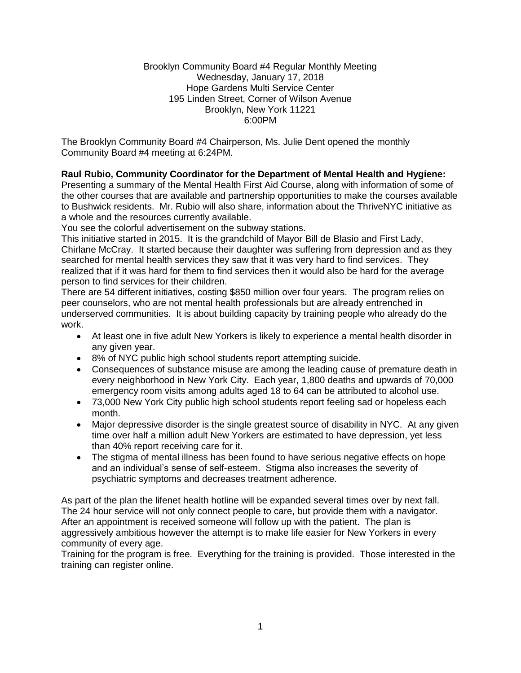### Brooklyn Community Board #4 Regular Monthly Meeting Wednesday, January 17, 2018 Hope Gardens Multi Service Center 195 Linden Street, Corner of Wilson Avenue Brooklyn, New York 11221 6:00PM

The Brooklyn Community Board #4 Chairperson, Ms. Julie Dent opened the monthly Community Board #4 meeting at 6:24PM.

# **Raul Rubio, Community Coordinator for the Department of Mental Health and Hygiene:**

Presenting a summary of the Mental Health First Aid Course, along with information of some of the other courses that are available and partnership opportunities to make the courses available to Bushwick residents. Mr. Rubio will also share, information about the ThriveNYC initiative as a whole and the resources currently available.

You see the colorful advertisement on the subway stations.

This initiative started in 2015. It is the grandchild of Mayor Bill de Blasio and First Lady, Chirlane McCray. It started because their daughter was suffering from depression and as they searched for mental health services they saw that it was very hard to find services. They realized that if it was hard for them to find services then it would also be hard for the average person to find services for their children.

There are 54 different initiatives, costing \$850 million over four years. The program relies on peer counselors, who are not mental health professionals but are already entrenched in underserved communities. It is about building capacity by training people who already do the work.

- At least one in five adult New Yorkers is likely to experience a mental health disorder in any given year.
- 8% of NYC public high school students report attempting suicide.
- Consequences of substance misuse are among the leading cause of premature death in every neighborhood in New York City. Each year, 1,800 deaths and upwards of 70,000 emergency room visits among adults aged 18 to 64 can be attributed to alcohol use.
- 73,000 New York City public high school students report feeling sad or hopeless each month.
- Major depressive disorder is the single greatest source of disability in NYC. At any given time over half a million adult New Yorkers are estimated to have depression, yet less than 40% report receiving care for it.
- The stigma of mental illness has been found to have serious negative effects on hope and an individual's sense of self-esteem. Stigma also increases the severity of psychiatric symptoms and decreases treatment adherence.

As part of the plan the lifenet health hotline will be expanded several times over by next fall. The 24 hour service will not only connect people to care, but provide them with a navigator. After an appointment is received someone will follow up with the patient. The plan is aggressively ambitious however the attempt is to make life easier for New Yorkers in every community of every age.

Training for the program is free. Everything for the training is provided. Those interested in the training can register online.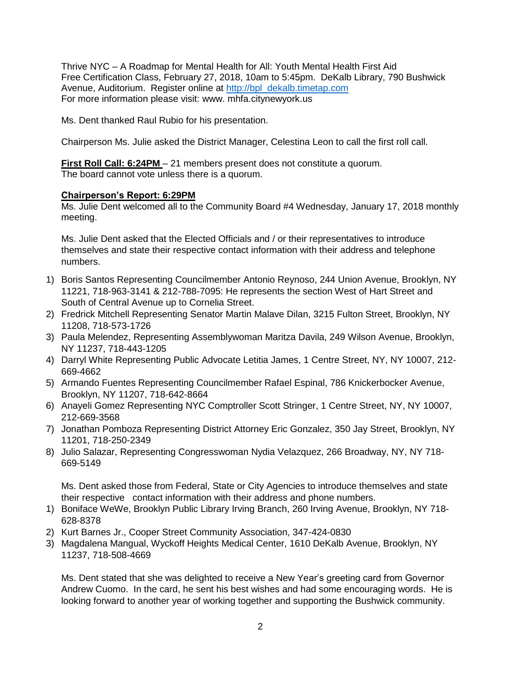Thrive NYC – A Roadmap for Mental Health for All: Youth Mental Health First Aid Free Certification Class, February 27, 2018, 10am to 5:45pm. DeKalb Library, 790 Bushwick Avenue, Auditorium. Register online at [http://bpl\\_dekalb.timetap.com](http://bpl_dekalb.timetap.com/) For more information please visit: www. mhfa.citynewyork.us

Ms. Dent thanked Raul Rubio for his presentation.

Chairperson Ms. Julie asked the District Manager, Celestina Leon to call the first roll call.

**First Roll Call: 6:24PM** – 21 members present does not constitute a quorum. The board cannot vote unless there is a quorum.

## **Chairperson's Report: 6:29PM**

Ms. Julie Dent welcomed all to the Community Board #4 Wednesday, January 17, 2018 monthly meeting.

Ms. Julie Dent asked that the Elected Officials and / or their representatives to introduce themselves and state their respective contact information with their address and telephone numbers.

- 1) Boris Santos Representing Councilmember Antonio Reynoso, 244 Union Avenue, Brooklyn, NY 11221, 718-963-3141 & 212-788-7095: He represents the section West of Hart Street and South of Central Avenue up to Cornelia Street.
- 2) Fredrick Mitchell Representing Senator Martin Malave Dilan, 3215 Fulton Street, Brooklyn, NY 11208, 718-573-1726
- 3) Paula Melendez, Representing Assemblywoman Maritza Davila, 249 Wilson Avenue, Brooklyn, NY 11237, 718-443-1205
- 4) Darryl White Representing Public Advocate Letitia James, 1 Centre Street, NY, NY 10007, 212- 669-4662
- 5) Armando Fuentes Representing Councilmember Rafael Espinal, 786 Knickerbocker Avenue, Brooklyn, NY 11207, 718-642-8664
- 6) Anayeli Gomez Representing NYC Comptroller Scott Stringer, 1 Centre Street, NY, NY 10007, 212-669-3568
- 7) Jonathan Pomboza Representing District Attorney Eric Gonzalez, 350 Jay Street, Brooklyn, NY 11201, 718-250-2349
- 8) Julio Salazar, Representing Congresswoman Nydia Velazquez, 266 Broadway, NY, NY 718- 669-5149

Ms. Dent asked those from Federal, State or City Agencies to introduce themselves and state their respective contact information with their address and phone numbers.

- 1) Boniface WeWe, Brooklyn Public Library Irving Branch, 260 Irving Avenue, Brooklyn, NY 718- 628-8378
- 2) Kurt Barnes Jr., Cooper Street Community Association, 347-424-0830
- 3) Magdalena Mangual, Wyckoff Heights Medical Center, 1610 DeKalb Avenue, Brooklyn, NY 11237, 718-508-4669

Ms. Dent stated that she was delighted to receive a New Year's greeting card from Governor Andrew Cuomo. In the card, he sent his best wishes and had some encouraging words. He is looking forward to another year of working together and supporting the Bushwick community.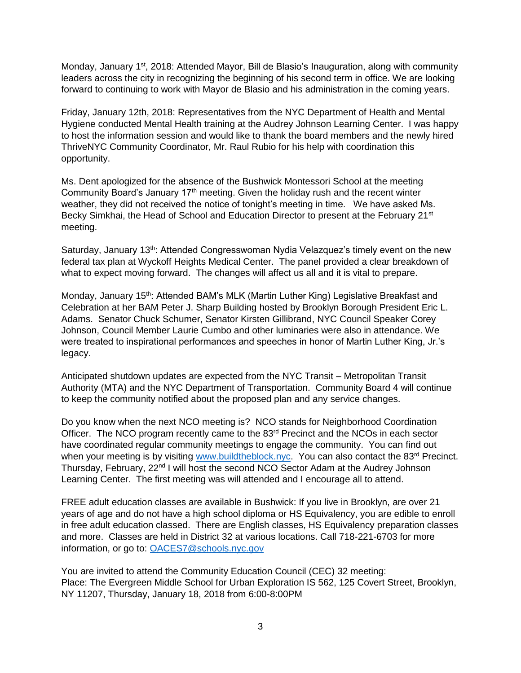Monday, January 1<sup>st</sup>, 2018: Attended Mayor, Bill de Blasio's Inauguration, along with community leaders across the city in recognizing the beginning of his second term in office. We are looking forward to continuing to work with Mayor de Blasio and his administration in the coming years.

Friday, January 12th, 2018: Representatives from the NYC Department of Health and Mental Hygiene conducted Mental Health training at the Audrey Johnson Learning Center. I was happy to host the information session and would like to thank the board members and the newly hired ThriveNYC Community Coordinator, Mr. Raul Rubio for his help with coordination this opportunity.

Ms. Dent apologized for the absence of the Bushwick Montessori School at the meeting Community Board's January  $17<sup>th</sup>$  meeting. Given the holiday rush and the recent winter weather, they did not received the notice of tonight's meeting in time. We have asked Ms. Becky Simkhai, the Head of School and Education Director to present at the February 21<sup>st</sup> meeting.

Saturday, January 13<sup>th</sup>: Attended Congresswoman Nydia Velazquez's timely event on the new federal tax plan at Wyckoff Heights Medical Center. The panel provided a clear breakdown of what to expect moving forward. The changes will affect us all and it is vital to prepare.

Monday, January 15<sup>th</sup>: Attended BAM's MLK (Martin Luther King) Legislative Breakfast and Celebration at her BAM Peter J. Sharp Building hosted by Brooklyn Borough President Eric L. Adams. Senator Chuck Schumer, Senator Kirsten Gillibrand, NYC Council Speaker Corey Johnson, Council Member Laurie Cumbo and other luminaries were also in attendance. We were treated to inspirational performances and speeches in honor of Martin Luther King, Jr.'s legacy.

Anticipated shutdown updates are expected from the NYC Transit – Metropolitan Transit Authority (MTA) and the NYC Department of Transportation. Community Board 4 will continue to keep the community notified about the proposed plan and any service changes.

Do you know when the next NCO meeting is? NCO stands for Neighborhood Coordination Officer. The NCO program recently came to the 83<sup>rd</sup> Precinct and the NCOs in each sector have coordinated regular community meetings to engage the community. You can find out when your meeting is by visiting [www.buildtheblock.nyc.](http://www.buildtheblock.nyc/) You can also contact the 83<sup>rd</sup> Precinct. Thursday, February, 22<sup>nd</sup> I will host the second NCO Sector Adam at the Audrey Johnson Learning Center. The first meeting was will attended and I encourage all to attend.

FREE adult education classes are available in Bushwick: If you live in Brooklyn, are over 21 years of age and do not have a high school diploma or HS Equivalency, you are edible to enroll in free adult education classed. There are English classes, HS Equivalency preparation classes and more. Classes are held in District 32 at various locations. Call 718-221-6703 for more information, or go to: [OACES7@schools.nyc.gov](mailto:OACES7@schools.nyc.gov)

You are invited to attend the Community Education Council (CEC) 32 meeting: Place: The Evergreen Middle School for Urban Exploration IS 562, 125 Covert Street, Brooklyn, NY 11207, Thursday, January 18, 2018 from 6:00-8:00PM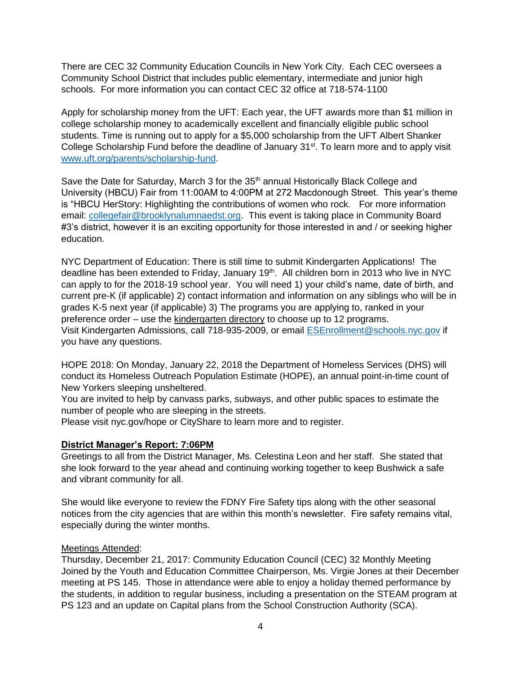There are CEC 32 Community Education Councils in New York City. Each CEC oversees a Community School District that includes public elementary, intermediate and junior high schools. For more information you can contact CEC 32 office at 718-574-1100

Apply for scholarship money from the UFT: Each year, the UFT awards more than \$1 million in college scholarship money to academically excellent and financially eligible public school students. Time is running out to apply for a \$5,000 scholarship from the UFT Albert Shanker College Scholarship Fund before the deadline of January 31<sup>st</sup>. To learn more and to apply visit [www.uft.org/parents/scholarship-fund.](http://www.uft.org/parents/scholarship-fund)

Save the Date for Saturday, March 3 for the 35<sup>th</sup> annual Historically Black College and University (HBCU) Fair from 11:00AM to 4:00PM at 272 Macdonough Street. This year's theme is "HBCU HerStory: Highlighting the contributions of women who rock. For more information email: [collegefair@brooklynalumnaedst.org.](mailto:collegefair@brooklynalumnaedst.org) This event is taking place in Community Board #3's district, however it is an exciting opportunity for those interested in and / or seeking higher education.

NYC Department of Education: There is still time to submit Kindergarten Applications! The deadline has been extended to Friday, January 19<sup>th</sup>. All children born in 2013 who live in NYC can apply to for the 2018-19 school year. You will need 1) your child's name, date of birth, and current pre-K (if applicable) 2) contact information and information on any siblings who will be in grades K-5 next year (if applicable) 3) The programs you are applying to, ranked in your preference order – use the kindergarten directory to choose up to 12 programs. Visit Kindergarten Admissions, call 718-935-2009, or email [ESEnrollment@schools.nyc.gov](mailto:ESEnrollment@schools.nyc.gov) if you have any questions.

HOPE 2018: On Monday, January 22, 2018 the Department of Homeless Services (DHS) will conduct its Homeless Outreach Population Estimate (HOPE), an annual point-in-time count of New Yorkers sleeping unsheltered.

You are invited to help by canvass parks, subways, and other public spaces to estimate the number of people who are sleeping in the streets.

Please visit nyc.gov/hope or CityShare to learn more and to register.

## **District Manager's Report: 7:06PM**

Greetings to all from the District Manager, Ms. Celestina Leon and her staff. She stated that she look forward to the year ahead and continuing working together to keep Bushwick a safe and vibrant community for all.

She would like everyone to review the FDNY Fire Safety tips along with the other seasonal notices from the city agencies that are within this month's newsletter. Fire safety remains vital, especially during the winter months.

#### Meetings Attended:

Thursday, December 21, 2017: Community Education Council (CEC) 32 Monthly Meeting Joined by the Youth and Education Committee Chairperson, Ms. Virgie Jones at their December meeting at PS 145. Those in attendance were able to enjoy a holiday themed performance by the students, in addition to regular business, including a presentation on the STEAM program at PS 123 and an update on Capital plans from the School Construction Authority (SCA).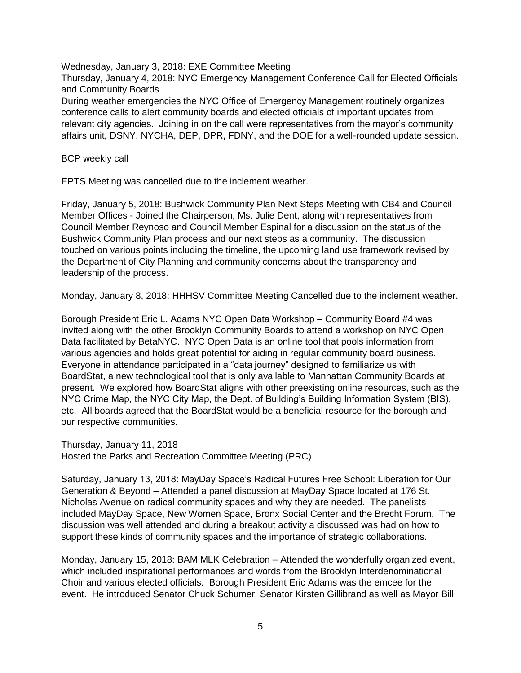Wednesday, January 3, 2018: EXE Committee Meeting

Thursday, January 4, 2018: NYC Emergency Management Conference Call for Elected Officials and Community Boards

During weather emergencies the NYC Office of Emergency Management routinely organizes conference calls to alert community boards and elected officials of important updates from relevant city agencies. Joining in on the call were representatives from the mayor's community affairs unit, DSNY, NYCHA, DEP, DPR, FDNY, and the DOE for a well-rounded update session.

BCP weekly call

EPTS Meeting was cancelled due to the inclement weather.

Friday, January 5, 2018: Bushwick Community Plan Next Steps Meeting with CB4 and Council Member Offices - Joined the Chairperson, Ms. Julie Dent, along with representatives from Council Member Reynoso and Council Member Espinal for a discussion on the status of the Bushwick Community Plan process and our next steps as a community. The discussion touched on various points including the timeline, the upcoming land use framework revised by the Department of City Planning and community concerns about the transparency and leadership of the process.

Monday, January 8, 2018: HHHSV Committee Meeting Cancelled due to the inclement weather.

Borough President Eric L. Adams NYC Open Data Workshop – Community Board #4 was invited along with the other Brooklyn Community Boards to attend a workshop on NYC Open Data facilitated by BetaNYC. NYC Open Data is an online tool that pools information from various agencies and holds great potential for aiding in regular community board business. Everyone in attendance participated in a "data journey" designed to familiarize us with BoardStat, a new technological tool that is only available to Manhattan Community Boards at present. We explored how BoardStat aligns with other preexisting online resources, such as the NYC Crime Map, the NYC City Map, the Dept. of Building's Building Information System (BIS), etc. All boards agreed that the BoardStat would be a beneficial resource for the borough and our respective communities.

Thursday, January 11, 2018 Hosted the Parks and Recreation Committee Meeting (PRC)

Saturday, January 13, 2018: MayDay Space's Radical Futures Free School: Liberation for Our Generation & Beyond – Attended a panel discussion at MayDay Space located at 176 St. Nicholas Avenue on radical community spaces and why they are needed. The panelists included MayDay Space, New Women Space, Bronx Social Center and the Brecht Forum. The discussion was well attended and during a breakout activity a discussed was had on how to support these kinds of community spaces and the importance of strategic collaborations.

Monday, January 15, 2018: BAM MLK Celebration – Attended the wonderfully organized event, which included inspirational performances and words from the Brooklyn Interdenominational Choir and various elected officials. Borough President Eric Adams was the emcee for the event. He introduced Senator Chuck Schumer, Senator Kirsten Gillibrand as well as Mayor Bill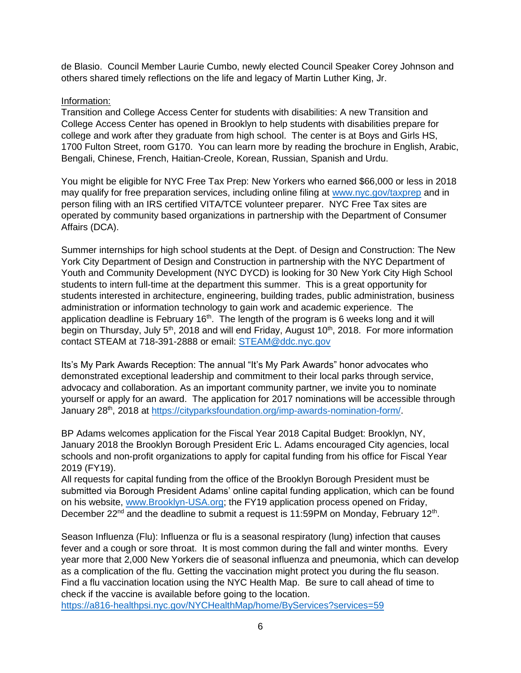de Blasio. Council Member Laurie Cumbo, newly elected Council Speaker Corey Johnson and others shared timely reflections on the life and legacy of Martin Luther King, Jr.

## Information:

Transition and College Access Center for students with disabilities: A new Transition and College Access Center has opened in Brooklyn to help students with disabilities prepare for college and work after they graduate from high school. The center is at Boys and Girls HS, 1700 Fulton Street, room G170. You can learn more by reading the brochure in English, Arabic, Bengali, Chinese, French, Haitian-Creole, Korean, Russian, Spanish and Urdu.

You might be eligible for NYC Free Tax Prep: New Yorkers who earned \$66,000 or less in 2018 may qualify for free preparation services, including online filing at [www.nyc.gov/taxprep](http://www.nyc.gov/taxprep) and in person filing with an IRS certified VITA/TCE volunteer preparer. NYC Free Tax sites are operated by community based organizations in partnership with the Department of Consumer Affairs (DCA).

Summer internships for high school students at the Dept. of Design and Construction: The New York City Department of Design and Construction in partnership with the NYC Department of Youth and Community Development (NYC DYCD) is looking for 30 New York City High School students to intern full-time at the department this summer. This is a great opportunity for students interested in architecture, engineering, building trades, public administration, business administration or information technology to gain work and academic experience. The application deadline is February  $16<sup>th</sup>$ . The length of the program is 6 weeks long and it will begin on Thursday, July 5<sup>th</sup>, 2018 and will end Friday, August 10<sup>th</sup>, 2018. For more information contact STEAM at 718-391-2888 or email: [STEAM@ddc.nyc.gov](mailto:STEAM@ddc.nyc.gov) 

Its's My Park Awards Reception: The annual "It's My Park Awards" honor advocates who demonstrated exceptional leadership and commitment to their local parks through service, advocacy and collaboration. As an important community partner, we invite you to nominate yourself or apply for an award. The application for 2017 nominations will be accessible through January 28<sup>th</sup>, 2018 at https://cityparksfoundation.org/imp-awards-nomination-form/

BP Adams welcomes application for the Fiscal Year 2018 Capital Budget: Brooklyn, NY, January 2018 the Brooklyn Borough President Eric L. Adams encouraged City agencies, local schools and non-profit organizations to apply for capital funding from his office for Fiscal Year 2019 (FY19).

All requests for capital funding from the office of the Brooklyn Borough President must be submitted via Borough President Adams' online capital funding application, which can be found on his website, [www.Brooklyn-USA.org;](http://www.brooklyn-usa.org/) the FY19 application process opened on Friday, December  $22^{nd}$  and the deadline to submit a request is 11:59PM on Monday, February 12<sup>th</sup>.

Season Influenza (Flu): Influenza or flu is a seasonal respiratory (lung) infection that causes fever and a cough or sore throat. It is most common during the fall and winter months. Every year more that 2,000 New Yorkers die of seasonal influenza and pneumonia, which can develop as a complication of the flu. Getting the vaccination might protect you during the flu season. Find a flu vaccination location using the NYC Health Map. Be sure to call ahead of time to check if the vaccine is available before going to the location. <https://a816-healthpsi.nyc.gov/NYCHealthMap/home/ByServices?services=59>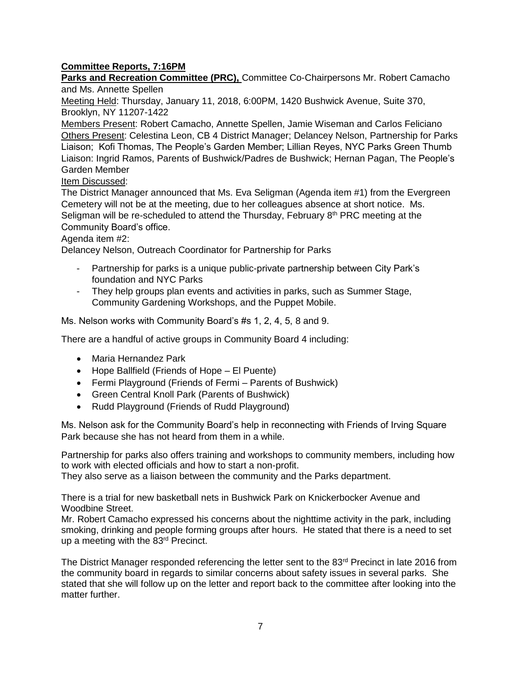# **Committee Reports, 7:16PM**

**Parks and Recreation Committee (PRC),** Committee Co-Chairpersons Mr. Robert Camacho and Ms. Annette Spellen

Meeting Held: Thursday, January 11, 2018, 6:00PM, 1420 Bushwick Avenue, Suite 370, Brooklyn, NY 11207-1422

Members Present: Robert Camacho, Annette Spellen, Jamie Wiseman and Carlos Feliciano Others Present: Celestina Leon, CB 4 District Manager; Delancey Nelson, Partnership for Parks Liaison; Kofi Thomas, The People's Garden Member; Lillian Reyes, NYC Parks Green Thumb Liaison: Ingrid Ramos, Parents of Bushwick/Padres de Bushwick; Hernan Pagan, The People's Garden Member

Item Discussed:

The District Manager announced that Ms. Eva Seligman (Agenda item #1) from the Evergreen Cemetery will not be at the meeting, due to her colleagues absence at short notice. Ms. Seligman will be re-scheduled to attend the Thursday, February  $8<sup>th</sup>$  PRC meeting at the Community Board's office.

### Agenda item #2:

Delancey Nelson, Outreach Coordinator for Partnership for Parks

- Partnership for parks is a unique public-private partnership between City Park's foundation and NYC Parks
- They help groups plan events and activities in parks, such as Summer Stage, Community Gardening Workshops, and the Puppet Mobile.

Ms. Nelson works with Community Board's #s 1, 2, 4, 5, 8 and 9.

There are a handful of active groups in Community Board 4 including:

- Maria Hernandez Park
- Hope Ballfield (Friends of Hope El Puente)
- Fermi Playground (Friends of Fermi Parents of Bushwick)
- Green Central Knoll Park (Parents of Bushwick)
- Rudd Playground (Friends of Rudd Playground)

Ms. Nelson ask for the Community Board's help in reconnecting with Friends of Irving Square Park because she has not heard from them in a while.

Partnership for parks also offers training and workshops to community members, including how to work with elected officials and how to start a non-profit.

They also serve as a liaison between the community and the Parks department.

There is a trial for new basketball nets in Bushwick Park on Knickerbocker Avenue and Woodbine Street.

Mr. Robert Camacho expressed his concerns about the nighttime activity in the park, including smoking, drinking and people forming groups after hours. He stated that there is a need to set up a meeting with the 83rd Precinct.

The District Manager responded referencing the letter sent to the 83<sup>rd</sup> Precinct in late 2016 from the community board in regards to similar concerns about safety issues in several parks. She stated that she will follow up on the letter and report back to the committee after looking into the matter further.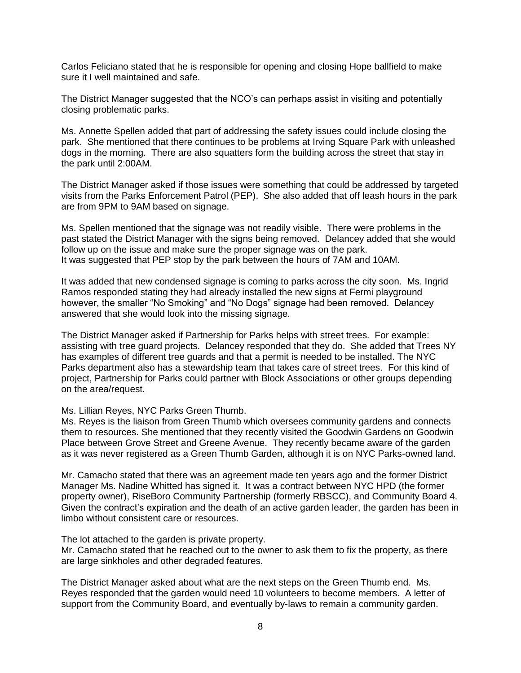Carlos Feliciano stated that he is responsible for opening and closing Hope ballfield to make sure it I well maintained and safe.

The District Manager suggested that the NCO's can perhaps assist in visiting and potentially closing problematic parks.

Ms. Annette Spellen added that part of addressing the safety issues could include closing the park. She mentioned that there continues to be problems at Irving Square Park with unleashed dogs in the morning. There are also squatters form the building across the street that stay in the park until 2:00AM.

The District Manager asked if those issues were something that could be addressed by targeted visits from the Parks Enforcement Patrol (PEP). She also added that off leash hours in the park are from 9PM to 9AM based on signage.

Ms. Spellen mentioned that the signage was not readily visible. There were problems in the past stated the District Manager with the signs being removed. Delancey added that she would follow up on the issue and make sure the proper signage was on the park. It was suggested that PEP stop by the park between the hours of 7AM and 10AM.

It was added that new condensed signage is coming to parks across the city soon. Ms. Ingrid Ramos responded stating they had already installed the new signs at Fermi playground however, the smaller "No Smoking" and "No Dogs" signage had been removed. Delancey answered that she would look into the missing signage.

The District Manager asked if Partnership for Parks helps with street trees. For example: assisting with tree guard projects. Delancey responded that they do. She added that Trees NY has examples of different tree guards and that a permit is needed to be installed. The NYC Parks department also has a stewardship team that takes care of street trees. For this kind of project, Partnership for Parks could partner with Block Associations or other groups depending on the area/request.

Ms. Lillian Reyes, NYC Parks Green Thumb.

Ms. Reyes is the liaison from Green Thumb which oversees community gardens and connects them to resources. She mentioned that they recently visited the Goodwin Gardens on Goodwin Place between Grove Street and Greene Avenue. They recently became aware of the garden as it was never registered as a Green Thumb Garden, although it is on NYC Parks-owned land.

Mr. Camacho stated that there was an agreement made ten years ago and the former District Manager Ms. Nadine Whitted has signed it. It was a contract between NYC HPD (the former property owner), RiseBoro Community Partnership (formerly RBSCC), and Community Board 4. Given the contract's expiration and the death of an active garden leader, the garden has been in limbo without consistent care or resources.

The lot attached to the garden is private property.

Mr. Camacho stated that he reached out to the owner to ask them to fix the property, as there are large sinkholes and other degraded features.

The District Manager asked about what are the next steps on the Green Thumb end. Ms. Reyes responded that the garden would need 10 volunteers to become members. A letter of support from the Community Board, and eventually by-laws to remain a community garden.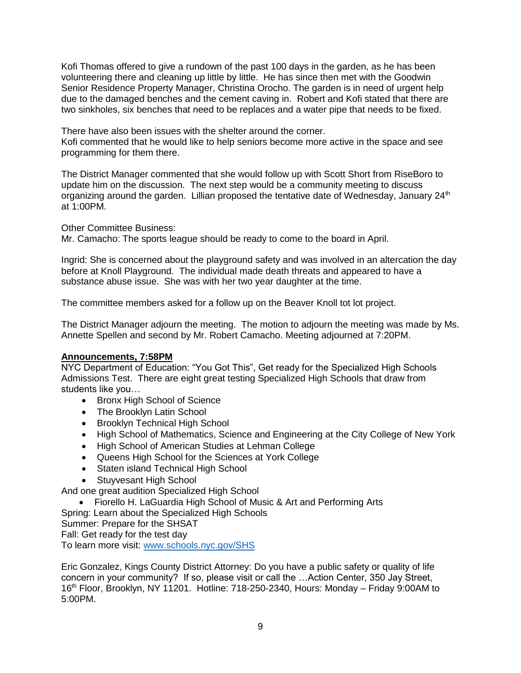Kofi Thomas offered to give a rundown of the past 100 days in the garden, as he has been volunteering there and cleaning up little by little. He has since then met with the Goodwin Senior Residence Property Manager, Christina Orocho. The garden is in need of urgent help due to the damaged benches and the cement caving in. Robert and Kofi stated that there are two sinkholes, six benches that need to be replaces and a water pipe that needs to be fixed.

There have also been issues with the shelter around the corner. Kofi commented that he would like to help seniors become more active in the space and see programming for them there.

The District Manager commented that she would follow up with Scott Short from RiseBoro to update him on the discussion. The next step would be a community meeting to discuss organizing around the garden. Lillian proposed the tentative date of Wednesday, January  $24<sup>th</sup>$ at 1:00PM.

Other Committee Business:

Mr. Camacho: The sports league should be ready to come to the board in April.

Ingrid: She is concerned about the playground safety and was involved in an altercation the day before at Knoll Playground. The individual made death threats and appeared to have a substance abuse issue. She was with her two year daughter at the time.

The committee members asked for a follow up on the Beaver Knoll tot lot project.

The District Manager adjourn the meeting. The motion to adjourn the meeting was made by Ms. Annette Spellen and second by Mr. Robert Camacho. Meeting adjourned at 7:20PM.

## **Announcements, 7:58PM**

NYC Department of Education: "You Got This", Get ready for the Specialized High Schools Admissions Test. There are eight great testing Specialized High Schools that draw from students like you…

- Bronx High School of Science
- The Brooklyn Latin School
- Brooklyn Technical High School
- High School of Mathematics, Science and Engineering at the City College of New York
- High School of American Studies at Lehman College
- Queens High School for the Sciences at York College
- Staten island Technical High School
- **Stuyvesant High School**

And one great audition Specialized High School

Fiorello H. LaGuardia High School of Music & Art and Performing Arts

Spring: Learn about the Specialized High Schools

Summer: Prepare for the SHSAT

Fall: Get ready for the test day

To learn more visit: [www.schools.nyc.gov/SHS](http://www.schools.nyc.gov/SHS) 

Eric Gonzalez, Kings County District Attorney: Do you have a public safety or quality of life concern in your community? If so, please visit or call the …Action Center, 350 Jay Street, 16<sup>th</sup> Floor, Brooklyn, NY 11201. Hotline: 718-250-2340, Hours: Monday – Friday 9:00AM to 5:00PM.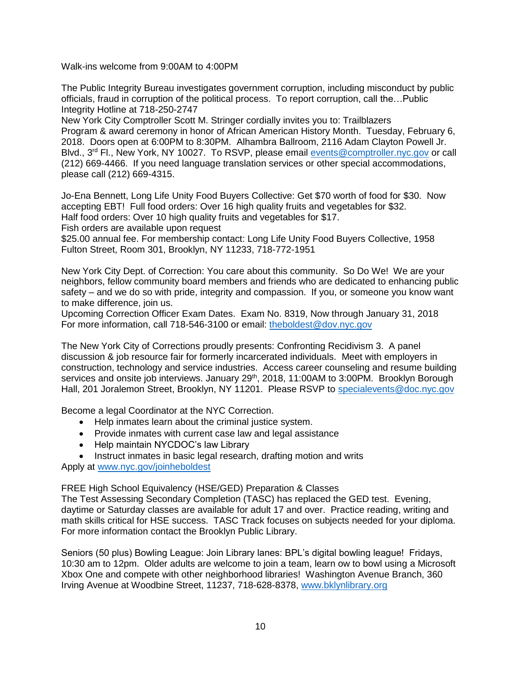Walk-ins welcome from 9:00AM to 4:00PM

The Public Integrity Bureau investigates government corruption, including misconduct by public officials, fraud in corruption of the political process. To report corruption, call the…Public Integrity Hotline at 718-250-2747

New York City Comptroller Scott M. Stringer cordially invites you to: Trailblazers Program & award ceremony in honor of African American History Month. Tuesday, February 6, 2018. Doors open at 6:00PM to 8:30PM. Alhambra Ballroom, 2116 Adam Clayton Powell Jr. Blvd., 3<sup>rd</sup> Fl., New York, NY 10027. To RSVP, please email **events@comptroller.nyc.gov** or call (212) 669-4466. If you need language translation services or other special accommodations, please call (212) 669-4315.

Jo-Ena Bennett, Long Life Unity Food Buyers Collective: Get \$70 worth of food for \$30. Now accepting EBT! Full food orders: Over 16 high quality fruits and vegetables for \$32. Half food orders: Over 10 high quality fruits and vegetables for \$17. Fish orders are available upon request

\$25.00 annual fee. For membership contact: Long Life Unity Food Buyers Collective, 1958 Fulton Street, Room 301, Brooklyn, NY 11233, 718-772-1951

New York City Dept. of Correction: You care about this community. So Do We! We are your neighbors, fellow community board members and friends who are dedicated to enhancing public safety – and we do so with pride, integrity and compassion. If you, or someone you know want to make difference, join us.

Upcoming Correction Officer Exam Dates. Exam No. 8319, Now through January 31, 2018 For more information, call 718-546-3100 or email: [theboldest@dov.nyc.gov](mailto:theboldest@dov.nyc.gov)

The New York City of Corrections proudly presents: Confronting Recidivism 3. A panel discussion & job resource fair for formerly incarcerated individuals. Meet with employers in construction, technology and service industries. Access career counseling and resume building services and onsite job interviews. January 29<sup>th</sup>, 2018, 11:00AM to 3:00PM. Brooklyn Borough Hall, 201 Joralemon Street, Brooklyn, NY 11201. Please RSVP to [specialevents@doc.nyc.gov](mailto:specialevents@doc.nyc.gov)

Become a legal Coordinator at the NYC Correction.

- Help inmates learn about the criminal justice system.
- Provide inmates with current case law and legal assistance
- Help maintain NYCDOC's law Library
- Instruct inmates in basic legal research, drafting motion and writs

Apply at [www.nyc.gov/joinheboldest](http://www.nyc.gov/joinheboldest) 

FREE High School Equivalency (HSE/GED) Preparation & Classes

The Test Assessing Secondary Completion (TASC) has replaced the GED test. Evening, daytime or Saturday classes are available for adult 17 and over. Practice reading, writing and math skills critical for HSE success. TASC Track focuses on subjects needed for your diploma. For more information contact the Brooklyn Public Library.

Seniors (50 plus) Bowling League: Join Library lanes: BPL's digital bowling league! Fridays, 10:30 am to 12pm. Older adults are welcome to join a team, learn ow to bowl using a Microsoft Xbox One and compete with other neighborhood libraries! Washington Avenue Branch, 360 Irving Avenue at Woodbine Street, 11237, 718-628-8378, [www.bklynlibrary.org](http://www.bklynlibrary.org/)